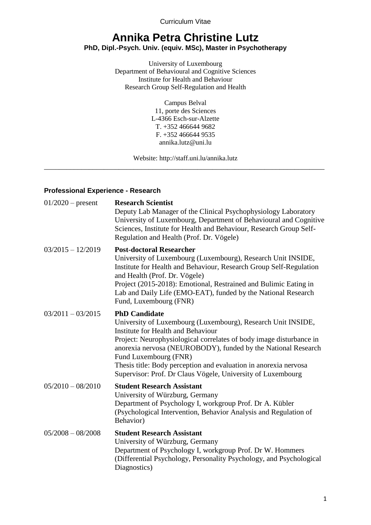Curriculum Vitae

# **Annika Petra Christine Lutz**

## **PhD, Dipl.-Psych. Univ. (equiv. MSc), Master in Psychotherapy**

University of Luxembourg Department of Behavioural and Cognitive Sciences Institute for Health and Behaviour Research Group Self-Regulation and Health

> Campus Belval 11, porte des Sciences L-4366 Esch-sur-Alzette T. +352 466644 9682 F. +352 466644 9535 annika.lutz@uni.lu

Website: http://staff.uni.lu/annika.lutz \_\_\_\_\_\_\_\_\_\_\_\_\_\_\_\_\_\_\_\_\_\_\_\_\_\_\_\_\_\_\_\_\_\_\_\_\_\_\_\_\_\_\_\_\_\_\_\_\_\_\_\_\_\_\_\_\_\_\_\_\_\_\_\_\_\_\_\_\_\_\_\_\_\_\_

### **Professional Experience - Research**

| $01/2020$ – present | <b>Research Scientist</b><br>Deputy Lab Manager of the Clinical Psychophysiology Laboratory<br>University of Luxembourg, Department of Behavioural and Cognitive<br>Sciences, Institute for Health and Behaviour, Research Group Self-<br>Regulation and Health (Prof. Dr. Vögele)                                                                                                                                             |
|---------------------|--------------------------------------------------------------------------------------------------------------------------------------------------------------------------------------------------------------------------------------------------------------------------------------------------------------------------------------------------------------------------------------------------------------------------------|
| $03/2015 - 12/2019$ | <b>Post-doctoral Researcher</b><br>University of Luxembourg (Luxembourg), Research Unit INSIDE,<br>Institute for Health and Behaviour, Research Group Self-Regulation<br>and Health (Prof. Dr. Vögele)<br>Project (2015-2018): Emotional, Restrained and Bulimic Eating in<br>Lab and Daily Life (EMO-EAT), funded by the National Research<br>Fund, Luxembourg (FNR)                                                          |
| $03/2011 - 03/2015$ | <b>PhD Candidate</b><br>University of Luxembourg (Luxembourg), Research Unit INSIDE,<br>Institute for Health and Behaviour<br>Project: Neurophysiological correlates of body image disturbance in<br>anorexia nervosa (NEUROBODY), funded by the National Research<br>Fund Luxembourg (FNR)<br>Thesis title: Body perception and evaluation in anorexia nervosa<br>Supervisor: Prof. Dr Claus Vögele, University of Luxembourg |
| $05/2010 - 08/2010$ | <b>Student Research Assistant</b><br>University of Würzburg, Germany<br>Department of Psychology I, workgroup Prof. Dr A. Kübler<br>(Psychological Intervention, Behavior Analysis and Regulation of<br>Behavior)                                                                                                                                                                                                              |
| $05/2008 - 08/2008$ | <b>Student Research Assistant</b><br>University of Würzburg, Germany<br>Department of Psychology I, workgroup Prof. Dr W. Hommers<br>(Differential Psychology, Personality Psychology, and Psychological<br>Diagnostics)                                                                                                                                                                                                       |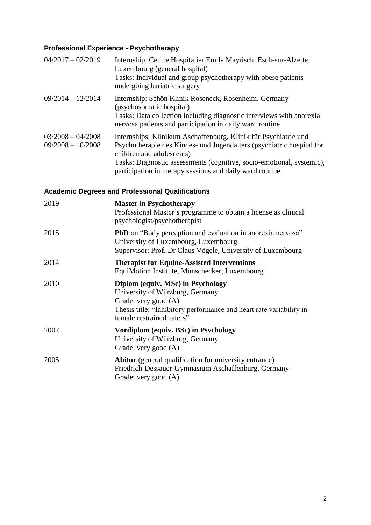# **Professional Experience - Psychotherapy**

| $04/2017 - 02/2019$                        | Internship: Centre Hospitalier Emile Mayrisch, Esch-sur-Alzette,<br>Luxembourg (general hospital)<br>Tasks: Individual and group psychotherapy with obese patients<br>undergoing bariatric surgery                                                                                                         |  |
|--------------------------------------------|------------------------------------------------------------------------------------------------------------------------------------------------------------------------------------------------------------------------------------------------------------------------------------------------------------|--|
| $09/2014 - 12/2014$                        | Internship: Schön Klinik Roseneck, Rosenheim, Germany<br>(psychosomatic hospital)<br>Tasks: Data collection including diagnostic interviews with anorexia<br>nervosa patients and participation in daily ward routine                                                                                      |  |
| $03/2008 - 04/2008$<br>$09/2008 - 10/2008$ | Internships: Klinikum Aschaffenburg, Klinik für Psychiatrie und<br>Psychotherapie des Kindes- und Jugendalters (psychiatric hospital for<br>children and adolescents)<br>Tasks: Diagnostic assessments (cognitive, socio-emotional, systemic),<br>participation in therapy sessions and daily ward routine |  |
|                                            | <b>Academic Degrees and Professional Qualifications</b>                                                                                                                                                                                                                                                    |  |
| 2019                                       | <b>Master in Psychotherapy</b><br>Professional Master's programme to obtain a license as clinical<br>psychologist/psychotherapist                                                                                                                                                                          |  |
| 2015                                       | PhD on "Body perception and evaluation in anorexia nervosa"<br>University of Luxembourg, Luxembourg<br>Supervisor: Prof. Dr Claus Vögele, University of Luxembourg                                                                                                                                         |  |
| 2014                                       | <b>Therapist for Equine-Assisted Interventions</b><br>EquiMotion Institute, Münschecker, Luxembourg                                                                                                                                                                                                        |  |
| 2010                                       | Diplom (equiv. MSc) in Psychology<br>University of Würzburg, Germany<br>Grade: very good (A)<br>Thesis title: "Inhibitory performance and heart rate variability in<br>female restrained eaters"                                                                                                           |  |
| 2007                                       | Vordiplom (equiv. BSc) in Psychology<br>University of Würzburg, Germany<br>Grade: very good (A)                                                                                                                                                                                                            |  |
| 2005                                       | <b>Abitur</b> (general qualification for university entrance)<br>Friedrich-Dessauer-Gymnasium Aschaffenburg, Germany<br>Grade: very good (A)                                                                                                                                                               |  |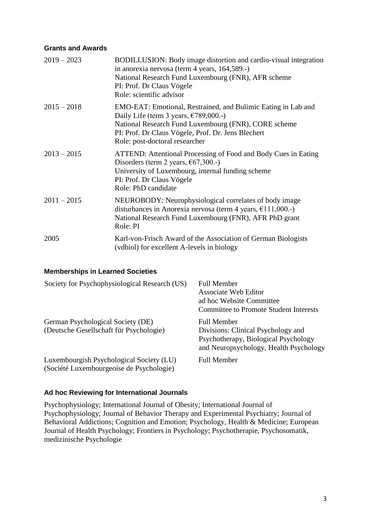#### **Grants and Awards**

| $2019 - 2023$ | BODILLUSION: Body image distortion and cardio-visual integration<br>in anorexia nervosa (term 4 years, 164,589.-)<br>National Research Fund Luxembourg (FNR), AFR scheme<br>PI: Prof. Dr Claus Vögele<br>Role: scientific advisor                                |
|---------------|------------------------------------------------------------------------------------------------------------------------------------------------------------------------------------------------------------------------------------------------------------------|
| $2015 - 2018$ | EMO-EAT: Emotional, Restrained, and Bulimic Eating in Lab and<br>Daily Life (term 3 years, $\epsilon$ 789,000.-)<br>National Research Fund Luxembourg (FNR), CORE scheme<br>PI: Prof. Dr Claus Vögele, Prof. Dr. Jens Blechert<br>Role: post-doctoral researcher |
| $2013 - 2015$ | ATTEND: Attentional Processing of Food and Body Cues in Eating<br>Disorders (term 2 years, $\epsilon$ 67,300.-)<br>University of Luxembourg, internal funding scheme<br>PI: Prof. Dr Claus Vögele<br>Role: PhD candidate                                         |
| $2011 - 2015$ | NEUROBODY: Neurophysiological correlates of body image<br>disturbances in Anorexia nervosa (term 4 years, $£111,000.$ -)<br>National Research Fund Luxembourg (FNR), AFR PhD grant<br>Role: PI                                                                   |
| 2005          | Karl-von-Frisch Award of the Association of German Biologists<br>(vdbiol) for excellent A-levels in biology                                                                                                                                                      |

#### **Memberships in Learned Societies**

| Society for Psychophysiological Research (US)                                        | <b>Full Member</b><br><b>Associate Web Editor</b><br>ad hoc Website Committee<br><b>Committee to Promote Student Interests</b>             |
|--------------------------------------------------------------------------------------|--------------------------------------------------------------------------------------------------------------------------------------------|
| German Psychological Society (DE)<br>(Deutsche Gesellschaft für Psychologie)         | <b>Full Member</b><br>Divisions: Clinical Psychology and<br>Psychotherapy, Biological Psychology<br>and Neuropsychology, Health Psychology |
| Luxembourgish Psychological Society (LU)<br>(Société Luxembourgeoise de Psychologie) | <b>Full Member</b>                                                                                                                         |

#### **Ad hoc Reviewing for International Journals**

Psychophysiology; International Journal of Obesity; International Journal of Psychophysiology; Journal of Behavior Therapy and Experimental Psychiatry; Journal of Behavioral Addictions; Cognition and Emotion; Psychology, Health & Medicine; European Journal of Health Psychology; Frontiers in Psychology; Psychotherapie, Psychosomatik, medizinische Psychologie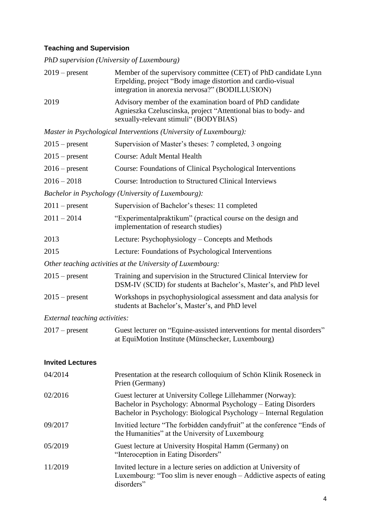# **Teaching and Supervision**

*PhD supervision (University of Luxembourg)*

| $2019$ – present              | Member of the supervisory committee (CET) of PhD candidate Lynn<br>Erpelding, project "Body image distortion and cardio-visual<br>integration in anorexia nervosa?" (BODILLUSION)                   |  |  |
|-------------------------------|-----------------------------------------------------------------------------------------------------------------------------------------------------------------------------------------------------|--|--|
| 2019                          | Advisory member of the examination board of PhD candidate<br>Agnieszka Czeluscinska, project "Attentional bias to body- and<br>sexually-relevant stimuli" (BODYBIAS)                                |  |  |
|                               | Master in Psychological Interventions (University of Luxembourg):                                                                                                                                   |  |  |
| $2015$ – present              | Supervision of Master's theses: 7 completed, 3 ongoing                                                                                                                                              |  |  |
| $2015$ – present              | <b>Course: Adult Mental Health</b>                                                                                                                                                                  |  |  |
| $2016$ – present              | Course: Foundations of Clinical Psychological Interventions                                                                                                                                         |  |  |
| $2016 - 2018$                 | <b>Course: Introduction to Structured Clinical Interviews</b>                                                                                                                                       |  |  |
|                               | Bachelor in Psychology (University of Luxembourg):                                                                                                                                                  |  |  |
| $2011$ – present              | Supervision of Bachelor's theses: 11 completed                                                                                                                                                      |  |  |
| $2011 - 2014$                 | "Experimentalpraktikum" (practical course on the design and<br>implementation of research studies)                                                                                                  |  |  |
| 2013                          | Lecture: Psychophysiology – Concepts and Methods                                                                                                                                                    |  |  |
| 2015                          | Lecture: Foundations of Psychological Interventions                                                                                                                                                 |  |  |
|                               | Other teaching activities at the University of Luxembourg:                                                                                                                                          |  |  |
| $2015$ – present              | Training and supervision in the Structured Clinical Interview for<br>DSM-IV (SCID) for students at Bachelor's, Master's, and PhD level                                                              |  |  |
| $2015$ – present              | Workshops in psychophysiological assessment and data analysis for<br>students at Bachelor's, Master's, and PhD level                                                                                |  |  |
| External teaching activities: |                                                                                                                                                                                                     |  |  |
| $2017$ – present              | Guest lecturer on "Equine-assisted interventions for mental disorders"<br>at EquiMotion Institute (Münschecker, Luxembourg)                                                                         |  |  |
| <b>Invited Lectures</b>       |                                                                                                                                                                                                     |  |  |
| 04/2014                       | Presentation at the research colloquium of Schön Klinik Roseneck in<br>Prien (Germany)                                                                                                              |  |  |
| 02/2016                       | Guest lecturer at University College Lillehammer (Norway):<br>Bachelor in Psychology: Abnormal Psychology – Eating Disorders<br>Bachelor in Psychology: Biological Psychology - Internal Regulation |  |  |
| 09/2017                       | Invitied lecture "The forbidden candyfruit" at the conference "Ends of<br>the Humanities" at the University of Luxembourg                                                                           |  |  |
| 05/2019                       | Guest lecture at University Hospital Hamm (Germany) on<br>"Interoception in Eating Disorders"                                                                                                       |  |  |
| 11/2019                       | Invited lecture in a lecture series on addiction at University of<br>Luxembourg: "Too slim is never enough – Addictive aspects of eating<br>disorders"                                              |  |  |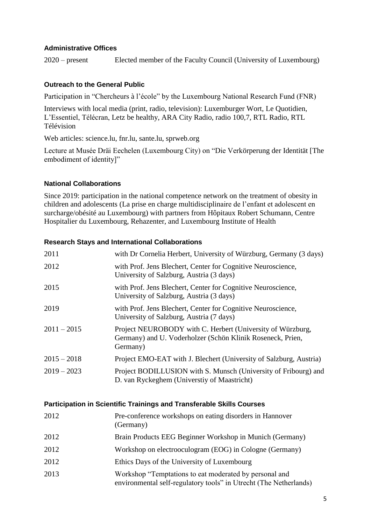#### **Administrative Offices**

2020 – present Elected member of the Faculty Council (University of Luxembourg)

### **Outreach to the General Public**

Participation in "Chercheurs à l'école" by the Luxembourg National Research Fund (FNR)

Interviews with local media (print, radio, television): Luxemburger Wort, Le Quotidien, L'Essentiel, Télécran, Letz be healthy, ARA City Radio, radio 100,7, RTL Radio, RTL Télévision

Web articles: science.lu, fnr.lu, sante.lu, sprweb.org

Lecture at Musée Dräi Eechelen (Luxembourg City) on "Die Verkörperung der Identität [The embodiment of identity]"

#### **National Collaborations**

Since 2019: participation in the national competence network on the treatment of obesity in children and adolescents (La prise en charge multidisciplinaire de l'enfant et adolescent en surcharge/obésité au Luxembourg) with partners from Hôpitaux Robert Schumann, Centre Hospitalier du Luxembourg, Rehazenter, and Luxembourg Institute of Health

#### **Research Stays and International Collaborations**

| 2011          | with Dr Cornelia Herbert, University of Würzburg, Germany (3 days)                                                                   |  |
|---------------|--------------------------------------------------------------------------------------------------------------------------------------|--|
| 2012          | with Prof. Jens Blechert, Center for Cognitive Neuroscience,<br>University of Salzburg, Austria (3 days)                             |  |
| 2015          | with Prof. Jens Blechert, Center for Cognitive Neuroscience,<br>University of Salzburg, Austria (3 days)                             |  |
| 2019          | with Prof. Jens Blechert, Center for Cognitive Neuroscience,<br>University of Salzburg, Austria (7 days)                             |  |
| $2011 - 2015$ | Project NEUROBODY with C. Herbert (University of Würzburg,<br>Germany) and U. Voderholzer (Schön Klinik Roseneck, Prien,<br>Germany) |  |
| $2015 - 2018$ | Project EMO-EAT with J. Blechert (University of Salzburg, Austria)                                                                   |  |
| $2019 - 2023$ | Project BODILLUSION with S. Munsch (University of Fribourg) and<br>D. van Ryckeghem (Universtiy of Maastricht)                       |  |

#### **Participation in Scientific Trainings and Transferable Skills Courses**

| 2012 | Pre-conference workshops on eating disorders in Hannover<br>(Germany)                                                       |
|------|-----------------------------------------------------------------------------------------------------------------------------|
| 2012 | Brain Products EEG Beginner Workshop in Munich (Germany)                                                                    |
| 2012 | Workshop on electrooculogram (EOG) in Cologne (Germany)                                                                     |
| 2012 | Ethics Days of the University of Luxembourg                                                                                 |
| 2013 | Workshop "Temptations to eat moderated by personal and<br>environmental self-regulatory tools" in Utrecht (The Netherlands) |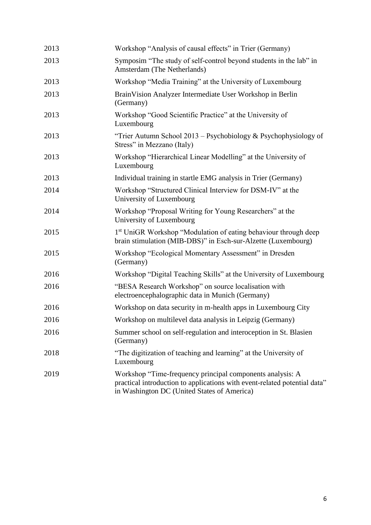| 2013 | Workshop "Analysis of causal effects" in Trier (Germany)                                                                                                                              |
|------|---------------------------------------------------------------------------------------------------------------------------------------------------------------------------------------|
| 2013 | Symposim "The study of self-control beyond students in the lab" in<br>Amsterdam (The Netherlands)                                                                                     |
| 2013 | Workshop "Media Training" at the University of Luxembourg                                                                                                                             |
| 2013 | BrainVision Analyzer Intermediate User Workshop in Berlin<br>(Germany)                                                                                                                |
| 2013 | Workshop "Good Scientific Practice" at the University of<br>Luxembourg                                                                                                                |
| 2013 | "Trier Autumn School $2013$ – Psychobiology & Psychophysiology of<br>Stress" in Mezzano (Italy)                                                                                       |
| 2013 | Workshop "Hierarchical Linear Modelling" at the University of<br>Luxembourg                                                                                                           |
| 2013 | Individual training in startle EMG analysis in Trier (Germany)                                                                                                                        |
| 2014 | Workshop "Structured Clinical Interview for DSM-IV" at the<br>University of Luxembourg                                                                                                |
| 2014 | Workshop "Proposal Writing for Young Researchers" at the<br>University of Luxembourg                                                                                                  |
| 2015 | 1 <sup>st</sup> UniGR Workshop "Modulation of eating behaviour through deep<br>brain stimulation (MIB-DBS)" in Esch-sur-Alzette (Luxembourg)                                          |
| 2015 | Workshop "Ecological Momentary Assessment" in Dresden<br>(Germany)                                                                                                                    |
| 2016 | Workshop "Digital Teaching Skills" at the University of Luxembourg                                                                                                                    |
| 2016 | "BESA Research Workshop" on source localisation with<br>electroencephalographic data in Munich (Germany)                                                                              |
| 2016 | Workshop on data security in m-health apps in Luxembourg City                                                                                                                         |
| 2016 | Workshop on multilevel data analysis in Leipzig (Germany)                                                                                                                             |
| 2016 | Summer school on self-regulation and interoception in St. Blasien<br>(Germany)                                                                                                        |
| 2018 | "The digitization of teaching and learning" at the University of<br>Luxembourg                                                                                                        |
| 2019 | Workshop "Time-frequency principal components analysis: A<br>practical introduction to applications with event-related potential data"<br>in Washington DC (United States of America) |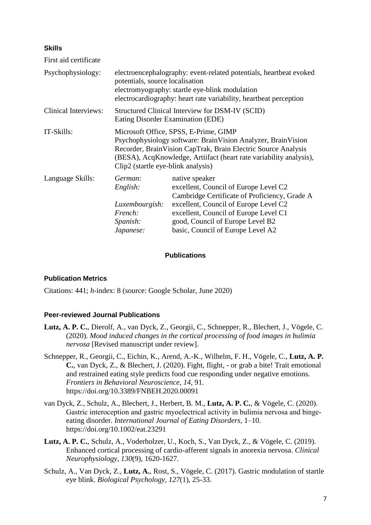### **Skills**

| First aid certificate       |                                                                                                                                                                                                                                                                                    |                                                                                                                                                                                                                                                                     |
|-----------------------------|------------------------------------------------------------------------------------------------------------------------------------------------------------------------------------------------------------------------------------------------------------------------------------|---------------------------------------------------------------------------------------------------------------------------------------------------------------------------------------------------------------------------------------------------------------------|
| Psychophysiology:           | electroencephalography: event-related potentials, heartbeat evoked<br>potentials, source localisation<br>electromyography: startle eye-blink modulation<br>electrocardiography: heart rate variability, heartbeat perception                                                       |                                                                                                                                                                                                                                                                     |
| <b>Clinical Interviews:</b> | Structured Clinical Interview for DSM-IV (SCID)<br>Eating Disorder Examination (EDE)                                                                                                                                                                                               |                                                                                                                                                                                                                                                                     |
| IT-Skills:                  | Microsoft Office, SPSS, E-Prime, GIMP<br>Psychophysiology software: BrainVision Analyzer, BrainVision<br>Recorder, BrainVision CapTrak, Brain Electric Source Analysis<br>(BESA), AcqKnowledge, Artiifact (heart rate variability analysis),<br>Clip2 (startle eye-blink analysis) |                                                                                                                                                                                                                                                                     |
| Language Skills:            | German:<br>English:<br>Luxembourgish:<br>French:<br>Spanish:<br>Japanese:                                                                                                                                                                                                          | native speaker<br>excellent, Council of Europe Level C2<br>Cambridge Certificate of Proficiency, Grade A<br>excellent, Council of Europe Level C2<br>excellent, Council of Europe Level C1<br>good, Council of Europe Level B2<br>basic, Council of Europe Level A2 |

#### **Publications**

#### **Publication Metrics**

Citations: 441; *h*-index: 8 (source: Google Scholar, June 2020)

#### **Peer-reviewed Journal Publications**

- **Lutz, A. P. C.**, Dierolf, A., van Dyck, Z., Georgii, C., Schnepper, R., Blechert, J., Vögele, C. (2020). *Mood induced changes in the cortical processing of food images in bulimia nervosa* [Revised manuscript under review].
- Schnepper, R., Georgii, C., Eichin, K., Arend, A.-K., Wilhelm, F. H., Vögele, C., **Lutz, A. P. C.**, van Dyck, Z., & Blechert, J. (2020). Fight, flight, - or grab a bite! Trait emotional and restrained eating style predicts food cue responding under negative emotions. *Frontiers in Behavioral Neuroscience*, *14*, 91. https://doi.org/10.3389/FNBEH.2020.00091
- van Dyck, Z., Schulz, A., Blechert, J., Herbert, B. M., **Lutz, A. P. C.**, & Vögele, C. (2020). Gastric interoception and gastric myoelectrical activity in bulimia nervosa and bingeeating disorder. *International Journal of Eating Disorders*, 1–10. https://doi.org/10.1002/eat.23291
- **Lutz, A. P. C.**, Schulz, A., Voderholzer, U., Koch, S., Van Dyck, Z., & Vögele, C. (2019). Enhanced cortical processing of cardio-afferent signals in anorexia nervosa. *Clinical Neurophysiology*, *130*(9), 1620-1627.
- Schulz, A., Van Dyck, Z., **Lutz, A.**, Rost, S., Vögele, C. (2017). Gastric modulation of startle eye blink. *Biological Psychology, 127*(1), 25-33.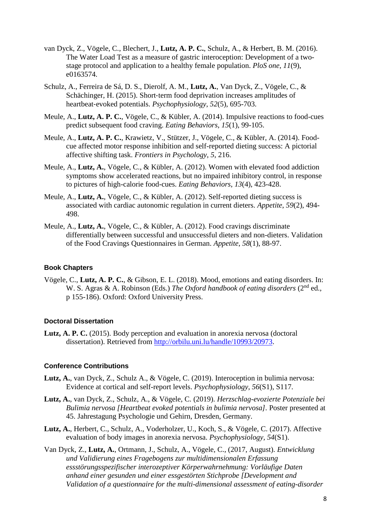- van Dyck, Z., Vögele, C., Blechert, J., **Lutz, A. P. C.**, Schulz, A., & Herbert, B. M. (2016). The Water Load Test as a measure of gastric interoception: Development of a twostage protocol and application to a healthy female population. *PloS one*, *11*(9), e0163574.
- Schulz, A., Ferreira de Sá, D. S., Dierolf, A. M., **Lutz, A.**, Van Dyck, Z., Vögele, C., & Schächinger, H. (2015). Short-term food deprivation increases amplitudes of heartbeat‐evoked potentials. *Psychophysiology*, *52*(5), 695-703.
- Meule, A., **Lutz, A. P. C.**, Vögele, C., & Kübler, A. (2014). Impulsive reactions to food-cues predict subsequent food craving. *Eating Behaviors*, *15*(1), 99-105.
- Meule, A., **Lutz, A. P. C.**, Krawietz, V., Stützer, J., Vögele, C., & Kübler, A. (2014). Foodcue affected motor response inhibition and self-reported dieting success: A pictorial affective shifting task. *Frontiers in Psychology*, *5*, 216.
- Meule, A., **Lutz, A.**, Vögele, C., & Kübler, A. (2012). Women with elevated food addiction symptoms show accelerated reactions, but no impaired inhibitory control, in response to pictures of high-calorie food-cues. *Eating Behaviors*, *13*(4), 423-428.
- Meule, A., **Lutz, A.**, Vögele, C., & Kübler, A. (2012). Self-reported dieting success is associated with cardiac autonomic regulation in current dieters. *Appetite*, *59*(2), 494- 498.
- Meule, A., **Lutz, A.**, Vögele, C., & Kübler, A. (2012). Food cravings discriminate differentially between successful and unsuccessful dieters and non-dieters. Validation of the Food Cravings Questionnaires in German. *Appetite*, *58*(1), 88-97.

#### **Book Chapters**

Vögele, C., **Lutz, A. P. C.**, & Gibson, E. L. (2018). Mood, emotions and eating disorders. In: W. S. Agras & A. Robinson (Eds.) *The Oxford handbook of eating disorders* (2<sup>nd</sup> ed., p 155-186). Oxford: Oxford University Press.

#### **Doctoral Dissertation**

**Lutz, A. P. C.** (2015). Body perception and evaluation in anorexia nervosa (doctoral dissertation). Retrieved from [http://orbilu.uni.lu/handle/10993/20973.](http://orbilu.uni.lu/handle/10993/20973)

#### **Conference Contributions**

- **Lutz, A.**, van Dyck, Z., Schulz A., & Vögele, C. (2019). Interoception in bulimia nervosa: Evidence at cortical and self-report levels. *Psychophysiology*, *56*(S1), S117.
- **Lutz, A.**, van Dyck, Z., Schulz, A., & Vögele, C. (2019). *Herzschlag-evozierte Potenziale bei Bulimia nervosa [Heartbeat evoked potentials in bulimia nervosa].* Poster presented at 45. Jahrestagung Psychologie und Gehirn, Dresden, Germany.
- **Lutz, A.**, Herbert, C., Schulz, A., Voderholzer, U., Koch, S., & Vögele, C. (2017). Affective evaluation of body images in anorexia nervosa. *Psychophysiology, 54*(S1).
- Van Dyck, Z., **Lutz, A.**, Ortmann, J., Schulz, A., Vögele, C., (2017, August). *Entwicklung und Validierung eines Fragebogens zur multidimensionalen Erfassung essstörungsspezifischer interozeptiver Körperwahrnehmung: Vorläufige Daten anhand einer gesunden und einer essgestörten Stichprobe [Development and Validation of a questionnaire for the multi-dimensional assessment of eating-disorder*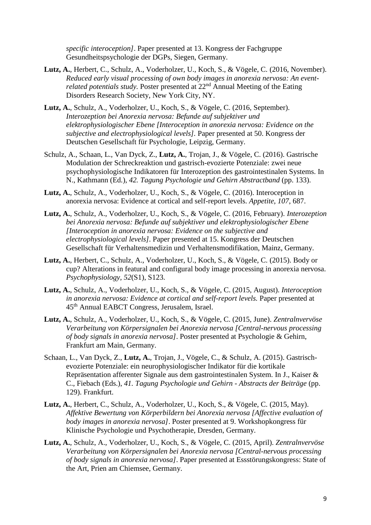*specific interoception]*. Paper presented at 13. Kongress der Fachgruppe Gesundheitspsychologie der DGPs, Siegen, Germany.

- **Lutz, A.**, Herbert, C., Schulz, A., Voderholzer, U., Koch, S., & Vögele, C. (2016, November). *Reduced early visual processing of own body images in anorexia nervosa: An eventrelated potentials study.* Poster presented at 22<sup>nd</sup> Annual Meeting of the Eating Disorders Research Society, New York City, NY.
- **Lutz, A.**, Schulz, A., Voderholzer, U., Koch, S., & Vögele, C. (2016, September). *Interozeption bei Anorexia nervosa: Befunde auf subjektiver und elektrophysiologischer Ebene [Interoception in anorexia nervosa: Evidence on the subjective and electrophysiological levels].* Paper presented at 50. Kongress der Deutschen Gesellschaft für Psychologie, Leipzig, Germany.
- Schulz, A., Schaan, L., Van Dyck, Z., **Lutz, A.**, Trojan, J., & Vögele, C. (2016). Gastrische Modulation der Schreckreaktion und gastrisch-evozierte Potenziale: zwei neue psychophysiologische Indikatoren für Interozeption des gastrointestinalen Systems. In N., Kathmann (Ed.), *42. Tagung Psychologie und Gehirn Abstractband* (pp. 133).
- **Lutz, A.**, Schulz, A., Voderholzer, U., Koch, S., & Vögele, C. (2016). Interoception in anorexia nervosa: Evidence at cortical and self-report levels. *Appetite*, *107*, 687.
- **Lutz, A.**, Schulz, A., Voderholzer, U., Koch, S., & Vögele, C. (2016, February). *Interozeption bei Anorexia nervosa: Befunde auf subjektiver und elektrophysiologischer Ebene [Interoception in anorexia nervosa: Evidence on the subjective and electrophysiological levels].* Paper presented at 15. Kongress der Deutschen Gesellschaft für Verhaltensmedizin und Verhaltensmodifikation, Mainz, Germany.
- **Lutz, A.**, Herbert, C., Schulz, A., Voderholzer, U., Koch, S., & Vögele, C. (2015). Body or cup? Alterations in featural and configural body image processing in anorexia nervosa. *Psychophysiology, 52*(S1), S123.
- **Lutz, A.**, Schulz, A., Voderholzer, U., Koch, S., & Vögele, C. (2015, August). *Interoception in anorexia nervosa: Evidence at cortical and self-report levels.* Paper presented at 45th Annual EABCT Congress, Jerusalem, Israel.
- **Lutz, A.**, Schulz, A., Voderholzer, U., Koch, S., & Vögele, C. (2015, June). *Zentralnvervöse Verarbeitung von Körpersignalen bei Anorexia nervosa [Central-nervous processing of body signals in anorexia nervosa]*. Poster presented at Psychologie & Gehirn, Frankfurt am Main, Germany.
- Schaan, L., Van Dyck, Z., **Lutz, A.**, Trojan, J., Vögele, C., & Schulz, A. (2015). Gastrischevozierte Potenziale: ein neurophysiologischer Indikator für die kortikale Repräsentation afferenter Signale aus dem gastrointestinalen System. In J., Kaiser & C., Fiebach (Eds.), *41. Tagung Psychologie und Gehirn - Abstracts der Beiträge* (pp. 129). Frankfurt.
- **Lutz, A.**, Herbert, C., Schulz, A., Voderholzer, U., Koch, S., & Vögele, C. (2015, May). *Affektive Bewertung von Körperbildern bei Anorexia nervosa [Affective evaluation of body images in anorexia nervosa]*. Poster presented at 9. Workshopkongress für Klinische Psychologie und Psychotherapie, Dresden, Germany.
- **Lutz, A.**, Schulz, A., Voderholzer, U., Koch, S., & Vögele, C. (2015, April). *Zentralnvervöse Verarbeitung von Körpersignalen bei Anorexia nervosa [Central-nervous processing of body signals in anorexia nervosa]*. Paper presented at Essstörungskongress: State of the Art, Prien am Chiemsee, Germany.